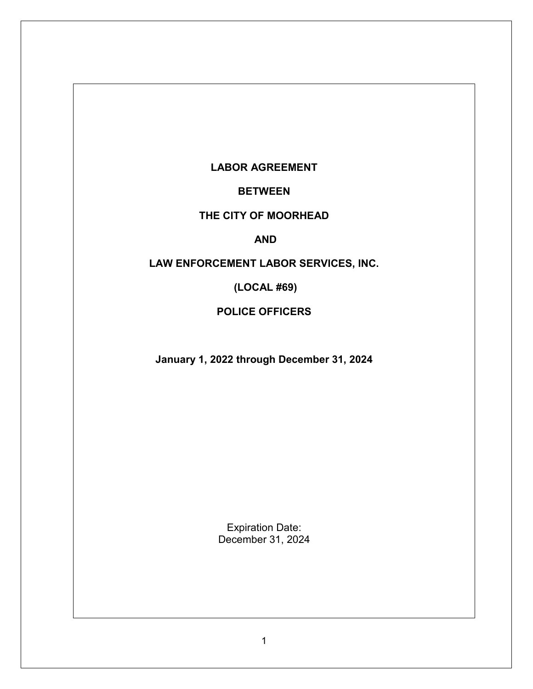# **LABOR AGREEMENT**

**BETWEEN**

# **THE CITY OF MOORHEAD**

#### **AND**

# **LAW ENFORCEMENT LABOR SERVICES, INC.**

**(LOCAL #69)**

### **POLICE OFFICERS**

**January 1, 2022 through December 31, 2024**

Expiration Date: December 31, 2024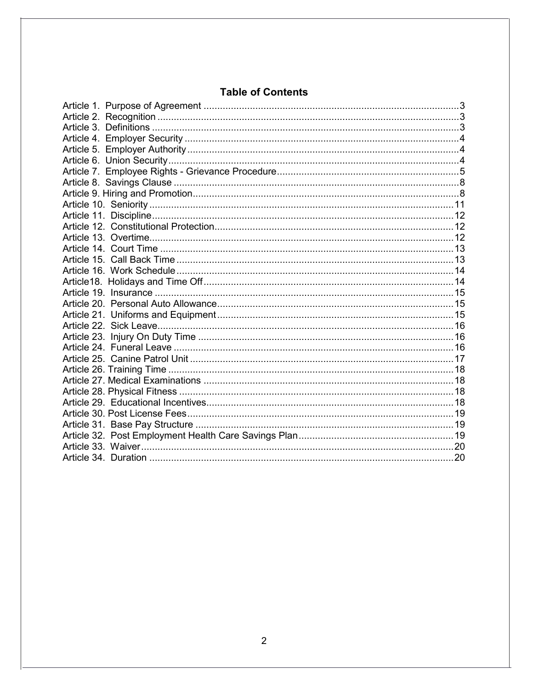# **Table of Contents**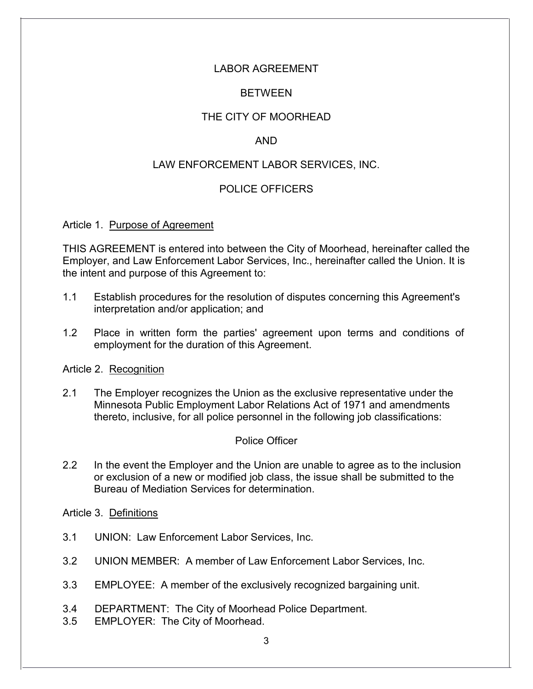# LABOR AGREEMENT

## BETWEEN

# THE CITY OF MOORHEAD

## AND

## LAW ENFORCEMENT LABOR SERVICES, INC.

## POLICE OFFICERS

#### <span id="page-2-0"></span>Article 1. Purpose of Agreement

THIS AGREEMENT is entered into between the City of Moorhead, hereinafter called the Employer, and Law Enforcement Labor Services, Inc., hereinafter called the Union. It is the intent and purpose of this Agreement to:

- 1.1 Establish procedures for the resolution of disputes concerning this Agreement's interpretation and/or application; and
- 1.2 Place in written form the parties' agreement upon terms and conditions of employment for the duration of this Agreement.

<span id="page-2-1"></span>Article 2. Recognition

2.1 The Employer recognizes the Union as the exclusive representative under the Minnesota Public Employment Labor Relations Act of 1971 and amendments thereto, inclusive, for all police personnel in the following job classifications:

### Police Officer

2.2 In the event the Employer and the Union are unable to agree as to the inclusion or exclusion of a new or modified job class, the issue shall be submitted to the Bureau of Mediation Services for determination.

<span id="page-2-2"></span>Article 3. Definitions

- 3.1 UNION: Law Enforcement Labor Services, Inc.
- 3.2 UNION MEMBER: A member of Law Enforcement Labor Services, Inc.
- 3.3 EMPLOYEE: A member of the exclusively recognized bargaining unit.
- 3.4 DEPARTMENT: The City of Moorhead Police Department.
- 3.5 EMPLOYER: The City of Moorhead.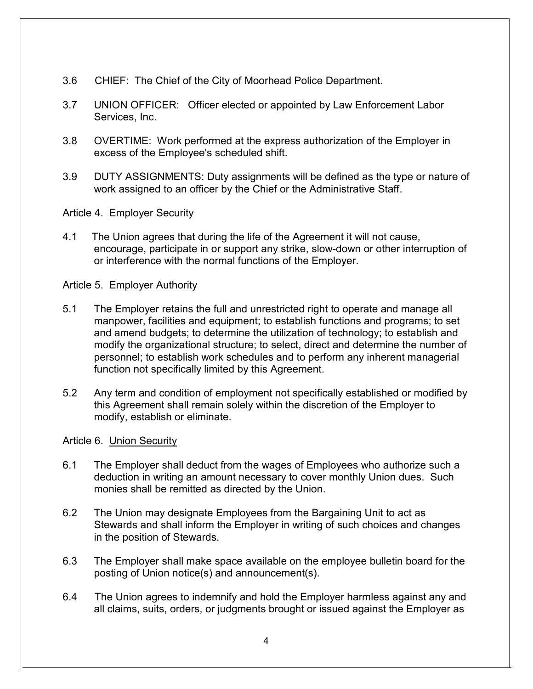- 3.6 CHIEF: The Chief of the City of Moorhead Police Department.
- 3.7 UNION OFFICER: Officer elected or appointed by Law Enforcement Labor Services, Inc.
- 3.8 OVERTIME: Work performed at the express authorization of the Employer in excess of the Employee's scheduled shift.
- 3.9 DUTY ASSIGNMENTS: Duty assignments will be defined as the type or nature of work assigned to an officer by the Chief or the Administrative Staff.

#### <span id="page-3-0"></span>Article 4. Employer Security

4.1 The Union agrees that during the life of the Agreement it will not cause, encourage, participate in or support any strike, slow-down or other interruption of or interference with the normal functions of the Employer.

#### <span id="page-3-1"></span>Article 5. Employer Authority

- 5.1 The Employer retains the full and unrestricted right to operate and manage all manpower, facilities and equipment; to establish functions and programs; to set and amend budgets; to determine the utilization of technology; to establish and modify the organizational structure; to select, direct and determine the number of personnel; to establish work schedules and to perform any inherent managerial function not specifically limited by this Agreement.
- 5.2 Any term and condition of employment not specifically established or modified by this Agreement shall remain solely within the discretion of the Employer to modify, establish or eliminate.

#### <span id="page-3-2"></span>Article 6. Union Security

- 6.1 The Employer shall deduct from the wages of Employees who authorize such a deduction in writing an amount necessary to cover monthly Union dues. Such monies shall be remitted as directed by the Union.
- 6.2 The Union may designate Employees from the Bargaining Unit to act as Stewards and shall inform the Employer in writing of such choices and changes in the position of Stewards.
- 6.3 The Employer shall make space available on the employee bulletin board for the posting of Union notice(s) and announcement(s).
- 6.4 The Union agrees to indemnify and hold the Employer harmless against any and all claims, suits, orders, or judgments brought or issued against the Employer as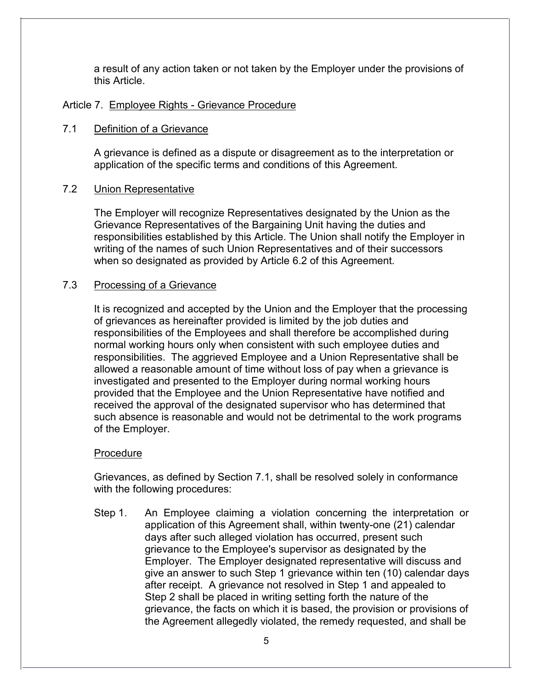a result of any action taken or not taken by the Employer under the provisions of this Article.

### <span id="page-4-0"></span>Article 7. Employee Rights - Grievance Procedure

### 7.1 Definition of a Grievance

A grievance is defined as a dispute or disagreement as to the interpretation or application of the specific terms and conditions of this Agreement.

### 7.2 Union Representative

The Employer will recognize Representatives designated by the Union as the Grievance Representatives of the Bargaining Unit having the duties and responsibilities established by this Article. The Union shall notify the Employer in writing of the names of such Union Representatives and of their successors when so designated as provided by Article 6.2 of this Agreement.

#### 7.3 Processing of a Grievance

It is recognized and accepted by the Union and the Employer that the processing of grievances as hereinafter provided is limited by the job duties and responsibilities of the Employees and shall therefore be accomplished during normal working hours only when consistent with such employee duties and responsibilities. The aggrieved Employee and a Union Representative shall be allowed a reasonable amount of time without loss of pay when a grievance is investigated and presented to the Employer during normal working hours provided that the Employee and the Union Representative have notified and received the approval of the designated supervisor who has determined that such absence is reasonable and would not be detrimental to the work programs of the Employer.

#### **Procedure**

Grievances, as defined by Section 7.1, shall be resolved solely in conformance with the following procedures:

Step 1. An Employee claiming a violation concerning the interpretation or application of this Agreement shall, within twenty-one (21) calendar days after such alleged violation has occurred, present such grievance to the Employee's supervisor as designated by the Employer. The Employer designated representative will discuss and give an answer to such Step 1 grievance within ten (10) calendar days after receipt. A grievance not resolved in Step 1 and appealed to Step 2 shall be placed in writing setting forth the nature of the grievance, the facts on which it is based, the provision or provisions of the Agreement allegedly violated, the remedy requested, and shall be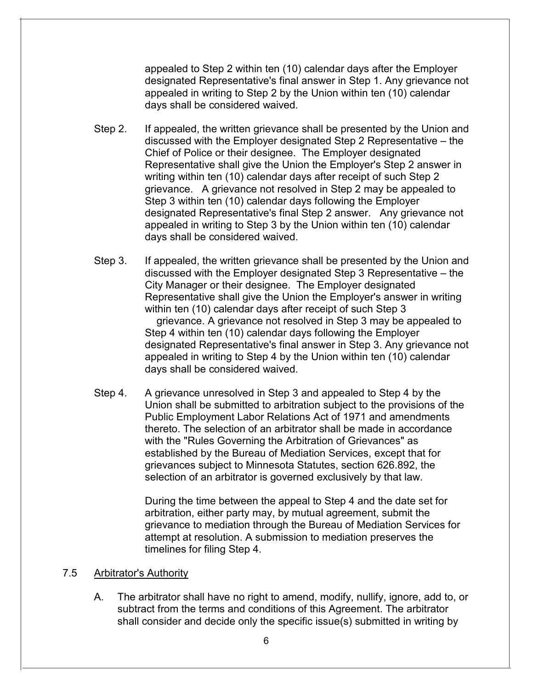appealed to Step 2 within ten (10) calendar days after the Employer designated Representative's final answer in Step 1. Any grievance not appealed in writing to Step 2 by the Union within ten (10) calendar days shall be considered waived.

- Step 2. If appealed, the written grievance shall be presented by the Union and discussed with the Employer designated Step 2 Representative – the Chief of Police or their designee. The Employer designated Representative shall give the Union the Employer's Step 2 answer in writing within ten (10) calendar days after receipt of such Step 2 grievance. A grievance not resolved in Step 2 may be appealed to Step 3 within ten (10) calendar days following the Employer designated Representative's final Step 2 answer. Any grievance not appealed in writing to Step 3 by the Union within ten (10) calendar days shall be considered waived.
- Step 3. If appealed, the written grievance shall be presented by the Union and discussed with the Employer designated Step 3 Representative – the City Manager or their designee. The Employer designated Representative shall give the Union the Employer's answer in writing within ten (10) calendar days after receipt of such Step 3

grievance. A grievance not resolved in Step 3 may be appealed to Step 4 within ten (10) calendar days following the Employer designated Representative's final answer in Step 3. Any grievance not appealed in writing to Step 4 by the Union within ten (10) calendar days shall be considered waived.

Step 4. A grievance unresolved in Step 3 and appealed to Step 4 by the Union shall be submitted to arbitration subject to the provisions of the Public Employment Labor Relations Act of 1971 and amendments thereto. The selection of an arbitrator shall be made in accordance with the "Rules Governing the Arbitration of Grievances" as established by the Bureau of Mediation Services, except that for grievances subject to Minnesota Statutes, section 626.892, the selection of an arbitrator is governed exclusively by that law.

> During the time between the appeal to Step 4 and the date set for arbitration, either party may, by mutual agreement, submit the grievance to mediation through the Bureau of Mediation Services for attempt at resolution. A submission to mediation preserves the timelines for filing Step 4.

#### 7.5 Arbitrator's Authority

A. The arbitrator shall have no right to amend, modify, nullify, ignore, add to, or subtract from the terms and conditions of this Agreement. The arbitrator shall consider and decide only the specific issue(s) submitted in writing by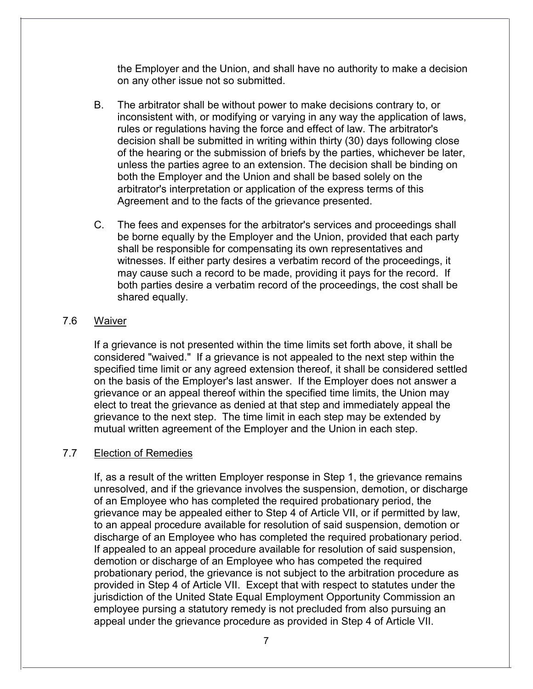the Employer and the Union, and shall have no authority to make a decision on any other issue not so submitted.

- B. The arbitrator shall be without power to make decisions contrary to, or inconsistent with, or modifying or varying in any way the application of laws, rules or regulations having the force and effect of law. The arbitrator's decision shall be submitted in writing within thirty (30) days following close of the hearing or the submission of briefs by the parties, whichever be later, unless the parties agree to an extension. The decision shall be binding on both the Employer and the Union and shall be based solely on the arbitrator's interpretation or application of the express terms of this Agreement and to the facts of the grievance presented.
- C. The fees and expenses for the arbitrator's services and proceedings shall be borne equally by the Employer and the Union, provided that each party shall be responsible for compensating its own representatives and witnesses. If either party desires a verbatim record of the proceedings, it may cause such a record to be made, providing it pays for the record. If both parties desire a verbatim record of the proceedings, the cost shall be shared equally.

### 7.6 Waiver

If a grievance is not presented within the time limits set forth above, it shall be considered "waived." If a grievance is not appealed to the next step within the specified time limit or any agreed extension thereof, it shall be considered settled on the basis of the Employer's last answer. If the Employer does not answer a grievance or an appeal thereof within the specified time limits, the Union may elect to treat the grievance as denied at that step and immediately appeal the grievance to the next step. The time limit in each step may be extended by mutual written agreement of the Employer and the Union in each step.

# 7.7 Election of Remedies

If, as a result of the written Employer response in Step 1, the grievance remains unresolved, and if the grievance involves the suspension, demotion, or discharge of an Employee who has completed the required probationary period, the grievance may be appealed either to Step 4 of Article VII, or if permitted by law, to an appeal procedure available for resolution of said suspension, demotion or discharge of an Employee who has completed the required probationary period. If appealed to an appeal procedure available for resolution of said suspension, demotion or discharge of an Employee who has competed the required probationary period, the grievance is not subject to the arbitration procedure as provided in Step 4 of Article VII. Except that with respect to statutes under the jurisdiction of the United State Equal Employment Opportunity Commission an employee pursing a statutory remedy is not precluded from also pursuing an appeal under the grievance procedure as provided in Step 4 of Article VII.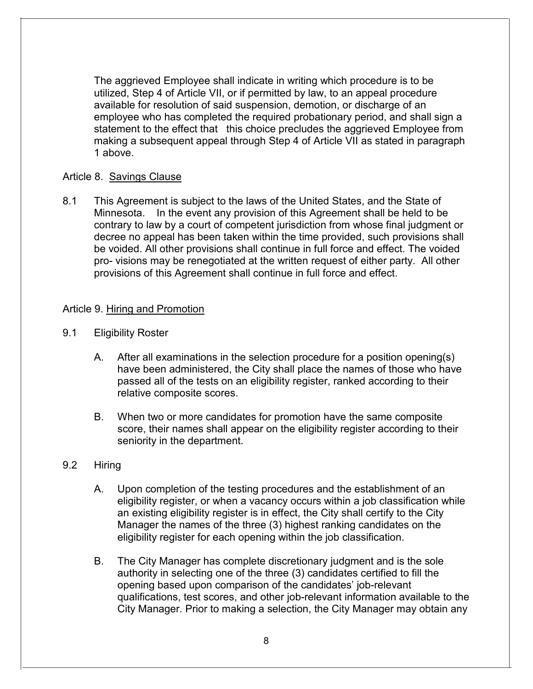The aggrieved Employee shall indicate in writing which procedure is to be utilized, Step 4 of Article VII, or if permitted by law, to an appeal procedure available for resolution of said suspension, demotion, or discharge of an employee who has completed the required probationary period, and shall sign a statement to the effect that this choice precludes the aggrieved Employee from making a subsequent appeal through Step 4 of Article VII as stated in paragraph 1 above.

## <span id="page-7-0"></span>Article 8. Savings Clause

8.1 This Agreement is subject to the laws of the United States, and the State of Minnesota. In the event any provision of this Agreement shall be held to be contrary to law by a court of competent jurisdiction from whose final judgment or decree no appeal has been taken within the time provided, such provisions shall be voided. All other provisions shall continue in full force and effect. The voided pro- visions may be renegotiated at the written request of either party. All other provisions of this Agreement shall continue in full force and effect.

### <span id="page-7-1"></span>Article 9. Hiring and Promotion

- 9.1 Eligibility Roster
	- A. After all examinations in the selection procedure for a position opening(s) have been administered, the City shall place the names of those who have passed all of the tests on an eligibility register, ranked according to their relative composite scores.
	- B. When two or more candidates for promotion have the same composite score, their names shall appear on the eligibility register according to their seniority in the department.

### 9.2 Hiring

- A. Upon completion of the testing procedures and the establishment of an eligibility register, or when a vacancy occurs within a job classification while an existing eligibility register is in effect, the City shall certify to the City Manager the names of the three (3) highest ranking candidates on the eligibility register for each opening within the job classification.
- B. The City Manager has complete discretionary judgment and is the sole authority in selecting one of the three (3) candidates certified to fill the opening based upon comparison of the candidates' job-relevant qualifications, test scores, and other job-relevant information available to the City Manager. Prior to making a selection, the City Manager may obtain any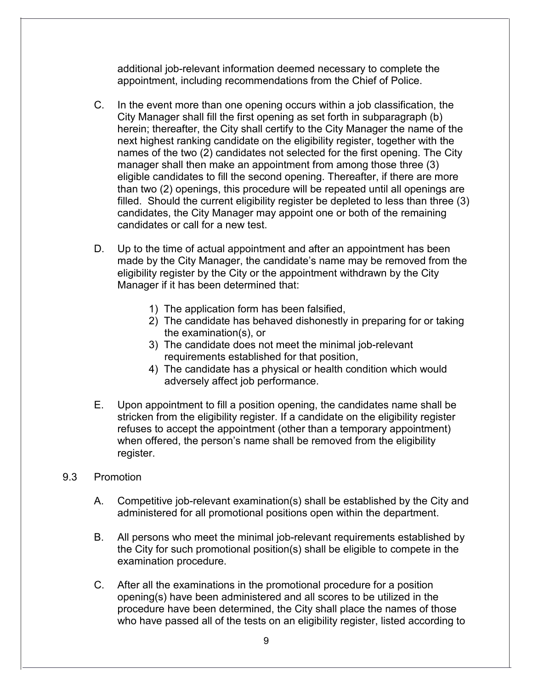additional job-relevant information deemed necessary to complete the appointment, including recommendations from the Chief of Police.

- C. In the event more than one opening occurs within a job classification, the City Manager shall fill the first opening as set forth in subparagraph (b) herein; thereafter, the City shall certify to the City Manager the name of the next highest ranking candidate on the eligibility register, together with the names of the two (2) candidates not selected for the first opening. The City manager shall then make an appointment from among those three (3) eligible candidates to fill the second opening. Thereafter, if there are more than two (2) openings, this procedure will be repeated until all openings are filled. Should the current eligibility register be depleted to less than three (3) candidates, the City Manager may appoint one or both of the remaining candidates or call for a new test.
- D. Up to the time of actual appointment and after an appointment has been made by the City Manager, the candidate's name may be removed from the eligibility register by the City or the appointment withdrawn by the City Manager if it has been determined that:
	- 1) The application form has been falsified,
	- 2) The candidate has behaved dishonestly in preparing for or taking the examination(s), or
	- 3) The candidate does not meet the minimal job-relevant requirements established for that position,
	- 4) The candidate has a physical or health condition which would adversely affect job performance.
- E. Upon appointment to fill a position opening, the candidates name shall be stricken from the eligibility register. If a candidate on the eligibility register refuses to accept the appointment (other than a temporary appointment) when offered, the person's name shall be removed from the eligibility register.
- 9.3 Promotion
	- A. Competitive job-relevant examination(s) shall be established by the City and administered for all promotional positions open within the department.
	- B. All persons who meet the minimal job-relevant requirements established by the City for such promotional position(s) shall be eligible to compete in the examination procedure.
	- C. After all the examinations in the promotional procedure for a position opening(s) have been administered and all scores to be utilized in the procedure have been determined, the City shall place the names of those who have passed all of the tests on an eligibility register, listed according to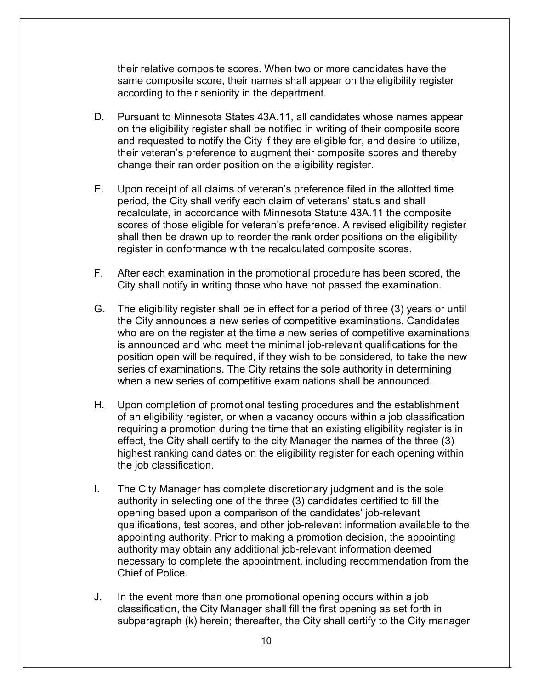their relative composite scores. When two or more candidates have the same composite score, their names shall appear on the eligibility register according to their seniority in the department.

- D. Pursuant to Minnesota States 43A.11, all candidates whose names appear on the eligibility register shall be notified in writing of their composite score and requested to notify the City if they are eligible for, and desire to utilize, their veteran's preference to augment their composite scores and thereby change their ran order position on the eligibility register.
- E. Upon receipt of all claims of veteran's preference filed in the allotted time period, the City shall verify each claim of veterans' status and shall recalculate, in accordance with Minnesota Statute 43A.11 the composite scores of those eligible for veteran's preference. A revised eligibility register shall then be drawn up to reorder the rank order positions on the eligibility register in conformance with the recalculated composite scores.
- F. After each examination in the promotional procedure has been scored, the City shall notify in writing those who have not passed the examination.
- G. The eligibility register shall be in effect for a period of three (3) years or until the City announces a new series of competitive examinations. Candidates who are on the register at the time a new series of competitive examinations is announced and who meet the minimal job-relevant qualifications for the position open will be required, if they wish to be considered, to take the new series of examinations. The City retains the sole authority in determining when a new series of competitive examinations shall be announced.
- H. Upon completion of promotional testing procedures and the establishment of an eligibility register, or when a vacancy occurs within a job classification requiring a promotion during the time that an existing eligibility register is in effect, the City shall certify to the city Manager the names of the three (3) highest ranking candidates on the eligibility register for each opening within the job classification.
- I. The City Manager has complete discretionary judgment and is the sole authority in selecting one of the three (3) candidates certified to fill the opening based upon a comparison of the candidates' job-relevant qualifications, test scores, and other job-relevant information available to the appointing authority. Prior to making a promotion decision, the appointing authority may obtain any additional job-relevant information deemed necessary to complete the appointment, including recommendation from the Chief of Police.
- J. In the event more than one promotional opening occurs within a job classification, the City Manager shall fill the first opening as set forth in subparagraph (k) herein; thereafter, the City shall certify to the City manager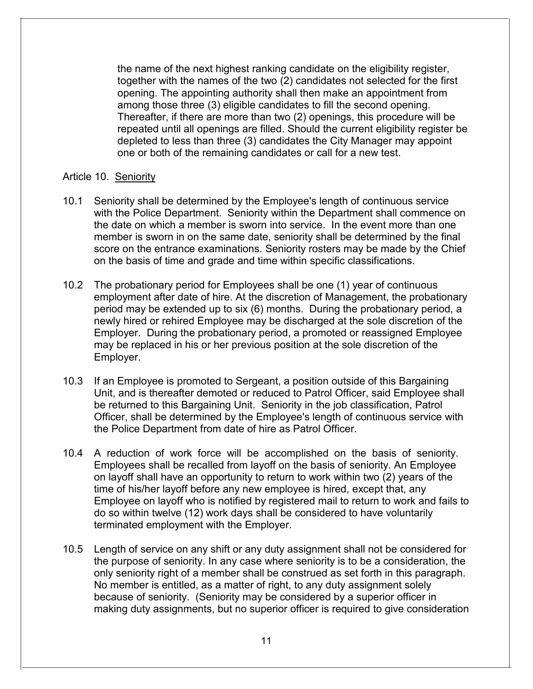the name of the next highest ranking candidate on the eligibility register, together with the names of the two (2) candidates not selected for the first opening. The appointing authority shall then make an appointment from among those three (3) eligible candidates to fill the second opening. Thereafter, if there are more than two (2) openings, this procedure will be repeated until all openings are filled. Should the current eligibility register be depleted to less than three (3) candidates the City Manager may appoint one or both of the remaining candidates or call for a new test.

#### <span id="page-10-0"></span>Article 10. Seniority

- 10.1 Seniority shall be determined by the Employee's length of continuous service with the Police Department. Seniority within the Department shall commence on the date on which a member is sworn into service. In the event more than one member is sworn in on the same date, seniority shall be determined by the final score on the entrance examinations. Seniority rosters may be made by the Chief on the basis of time and grade and time within specific classifications.
- 10.2 The probationary period for Employees shall be one (1) year of continuous employment after date of hire. At the discretion of Management, the probationary period may be extended up to six (6) months. During the probationary period, a newly hired or rehired Employee may be discharged at the sole discretion of the Employer. During the probationary period, a promoted or reassigned Employee may be replaced in his or her previous position at the sole discretion of the Employer.
- 10.3 If an Employee is promoted to Sergeant, a position outside of this Bargaining Unit, and is thereafter demoted or reduced to Patrol Officer, said Employee shall be returned to this Bargaining Unit. Seniority in the job classification, Patrol Officer, shall be determined by the Employee's length of continuous service with the Police Department from date of hire as Patrol Officer.
- 10.4 A reduction of work force will be accomplished on the basis of seniority. Employees shall be recalled from layoff on the basis of seniority. An Employee on layoff shall have an opportunity to return to work within two (2) years of the time of his/her layoff before any new employee is hired, except that, any Employee on layoff who is notified by registered mail to return to work and fails to do so within twelve (12) work days shall be considered to have voluntarily terminated employment with the Employer.
- 10.5 Length of service on any shift or any duty assignment shall not be considered for the purpose of seniority. In any case where seniority is to be a consideration, the only seniority right of a member shall be construed as set forth in this paragraph. No member is entitled, as a matter of right, to any duty assignment solely because of seniority. (Seniority may be considered by a superior officer in making duty assignments, but no superior officer is required to give consideration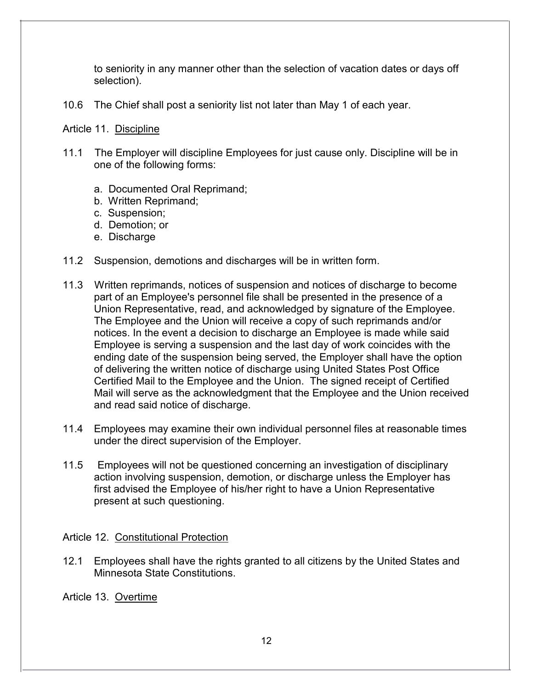to seniority in any manner other than the selection of vacation dates or days off selection).

10.6 The Chief shall post a seniority list not later than May 1 of each year.

#### Article 11. Discipline

- 11.1 The Employer will discipline Employees for just cause only. Discipline will be in one of the following forms:
	- a. Documented Oral Reprimand;
	- b. Written Reprimand;
	- c. Suspension;
	- d. Demotion; or
	- e. Discharge
- 11.2 Suspension, demotions and discharges will be in written form.
- 11.3 Written reprimands, notices of suspension and notices of discharge to become part of an Employee's personnel file shall be presented in the presence of a Union Representative, read, and acknowledged by signature of the Employee. The Employee and the Union will receive a copy of such reprimands and/or notices. In the event a decision to discharge an Employee is made while said Employee is serving a suspension and the last day of work coincides with the ending date of the suspension being served, the Employer shall have the option of delivering the written notice of discharge using United States Post Office Certified Mail to the Employee and the Union. The signed receipt of Certified Mail will serve as the acknowledgment that the Employee and the Union received and read said notice of discharge.
- 11.4 Employees may examine their own individual personnel files at reasonable times under the direct supervision of the Employer.
- 11.5 Employees will not be questioned concerning an investigation of disciplinary action involving suspension, demotion, or discharge unless the Employer has first advised the Employee of his/her right to have a Union Representative present at such questioning.

### Article 12. Constitutional Protection

12.1 Employees shall have the rights granted to all citizens by the United States and Minnesota State Constitutions.

Article 13. Overtime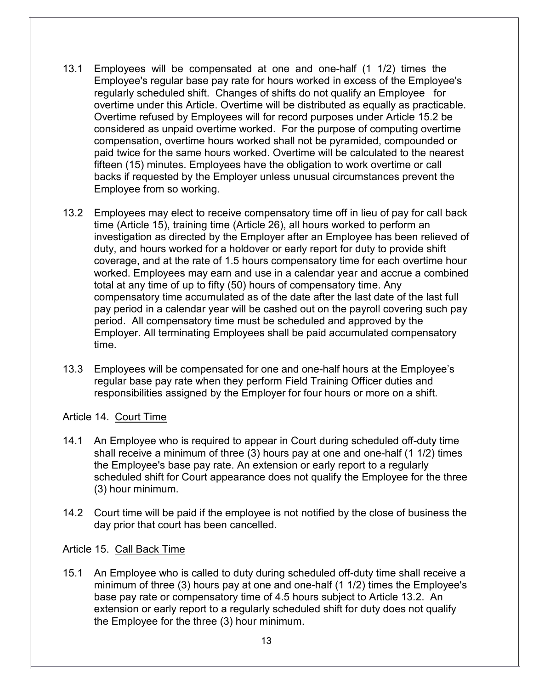- 13.1 Employees will be compensated at one and one-half (1 1/2) times the Employee's regular base pay rate for hours worked in excess of the Employee's regularly scheduled shift. Changes of shifts do not qualify an Employee for overtime under this Article. Overtime will be distributed as equally as practicable. Overtime refused by Employees will for record purposes under Article 15.2 be considered as unpaid overtime worked. For the purpose of computing overtime compensation, overtime hours worked shall not be pyramided, compounded or paid twice for the same hours worked. Overtime will be calculated to the nearest fifteen (15) minutes. Employees have the obligation to work overtime or call backs if requested by the Employer unless unusual circumstances prevent the Employee from so working.
- 13.2 Employees may elect to receive compensatory time off in lieu of pay for call back time (Article 15), training time (Article 26), all hours worked to perform an investigation as directed by the Employer after an Employee has been relieved of duty, and hours worked for a holdover or early report for duty to provide shift coverage, and at the rate of 1.5 hours compensatory time for each overtime hour worked. Employees may earn and use in a calendar year and accrue a combined total at any time of up to fifty (50) hours of compensatory time. Any compensatory time accumulated as of the date after the last date of the last full pay period in a calendar year will be cashed out on the payroll covering such pay period. All compensatory time must be scheduled and approved by the Employer. All terminating Employees shall be paid accumulated compensatory time.
- 13.3 Employees will be compensated for one and one-half hours at the Employee's regular base pay rate when they perform Field Training Officer duties and responsibilities assigned by the Employer for four hours or more on a shift.

Article 14. Court Time

- 14.1 An Employee who is required to appear in Court during scheduled off-duty time shall receive a minimum of three (3) hours pay at one and one-half (1 1/2) times the Employee's base pay rate. An extension or early report to a regularly scheduled shift for Court appearance does not qualify the Employee for the three (3) hour minimum.
- 14.2 Court time will be paid if the employee is not notified by the close of business the day prior that court has been cancelled.

Article 15. Call Back Time

15.1 An Employee who is called to duty during scheduled off-duty time shall receive a minimum of three (3) hours pay at one and one-half (1 1/2) times the Employee's base pay rate or compensatory time of 4.5 hours subject to Article 13.2. An extension or early report to a regularly scheduled shift for duty does not qualify the Employee for the three (3) hour minimum.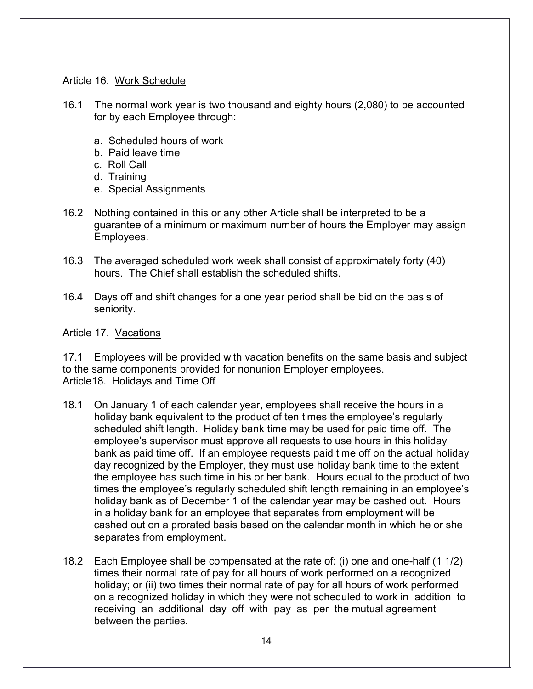### <span id="page-13-0"></span>Article 16. Work Schedule

- 16.1 The normal work year is two thousand and eighty hours (2,080) to be accounted for by each Employee through:
	- a. Scheduled hours of work
	- b. Paid leave time
	- c. Roll Call
	- d. Training
	- e. Special Assignments
- 16.2 Nothing contained in this or any other Article shall be interpreted to be a guarantee of a minimum or maximum number of hours the Employer may assign Employees.
- 16.3 The averaged scheduled work week shall consist of approximately forty (40) hours. The Chief shall establish the scheduled shifts.
- 16.4 Days off and shift changes for a one year period shall be bid on the basis of seniority.

Article 17. Vacations

<span id="page-13-1"></span>17.1 Employees will be provided with vacation benefits on the same basis and subject to the same components provided for nonunion Employer employees. Article18. Holidays and Time Off

- 18.1 On January 1 of each calendar year, employees shall receive the hours in a holiday bank equivalent to the product of ten times the employee's regularly scheduled shift length. Holiday bank time may be used for paid time off. The employee's supervisor must approve all requests to use hours in this holiday bank as paid time off. If an employee requests paid time off on the actual holiday day recognized by the Employer, they must use holiday bank time to the extent the employee has such time in his or her bank. Hours equal to the product of two times the employee's regularly scheduled shift length remaining in an employee's holiday bank as of December 1 of the calendar year may be cashed out. Hours in a holiday bank for an employee that separates from employment will be cashed out on a prorated basis based on the calendar month in which he or she separates from employment.
- 18.2 Each Employee shall be compensated at the rate of: (i) one and one-half (1 1/2) times their normal rate of pay for all hours of work performed on a recognized holiday; or (ii) two times their normal rate of pay for all hours of work performed on a recognized holiday in which they were not scheduled to work in addition to receiving an additional day off with pay as per the mutual agreement between the parties.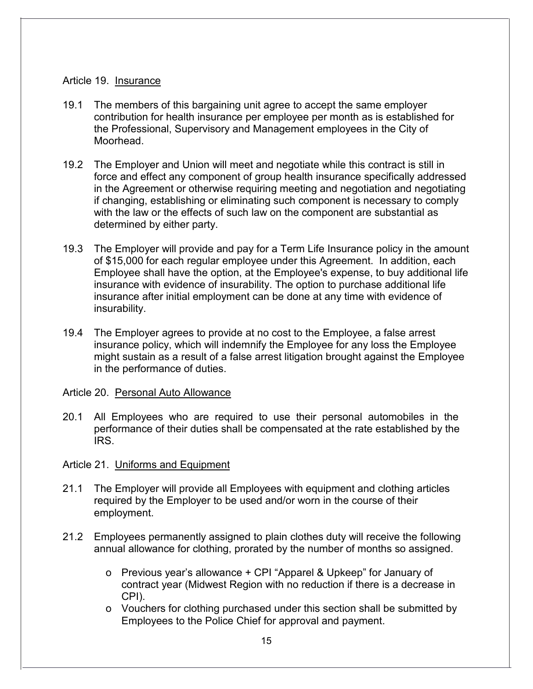### <span id="page-14-0"></span>Article 19. Insurance

- 19.1 The members of this bargaining unit agree to accept the same employer contribution for health insurance per employee per month as is established for the Professional, Supervisory and Management employees in the City of Moorhead.
- 19.2 The Employer and Union will meet and negotiate while this contract is still in force and effect any component of group health insurance specifically addressed in the Agreement or otherwise requiring meeting and negotiation and negotiating if changing, establishing or eliminating such component is necessary to comply with the law or the effects of such law on the component are substantial as determined by either party.
- 19.3 The Employer will provide and pay for a Term Life Insurance policy in the amount of \$15,000 for each regular employee under this Agreement. In addition, each Employee shall have the option, at the Employee's expense, to buy additional life insurance with evidence of insurability. The option to purchase additional life insurance after initial employment can be done at any time with evidence of insurability.
- 19.4 The Employer agrees to provide at no cost to the Employee, a false arrest insurance policy, which will indemnify the Employee for any loss the Employee might sustain as a result of a false arrest litigation brought against the Employee in the performance of duties.

### <span id="page-14-1"></span>Article 20. Personal Auto Allowance

20.1 All Employees who are required to use their personal automobiles in the performance of their duties shall be compensated at the rate established by the IRS.

# <span id="page-14-2"></span>Article 21. Uniforms and Equipment

- 21.1 The Employer will provide all Employees with equipment and clothing articles required by the Employer to be used and/or worn in the course of their employment.
- 21.2 Employees permanently assigned to plain clothes duty will receive the following annual allowance for clothing, prorated by the number of months so assigned.
	- o Previous year's allowance + CPI "Apparel & Upkeep" for January of contract year (Midwest Region with no reduction if there is a decrease in CPI).
	- o Vouchers for clothing purchased under this section shall be submitted by Employees to the Police Chief for approval and payment.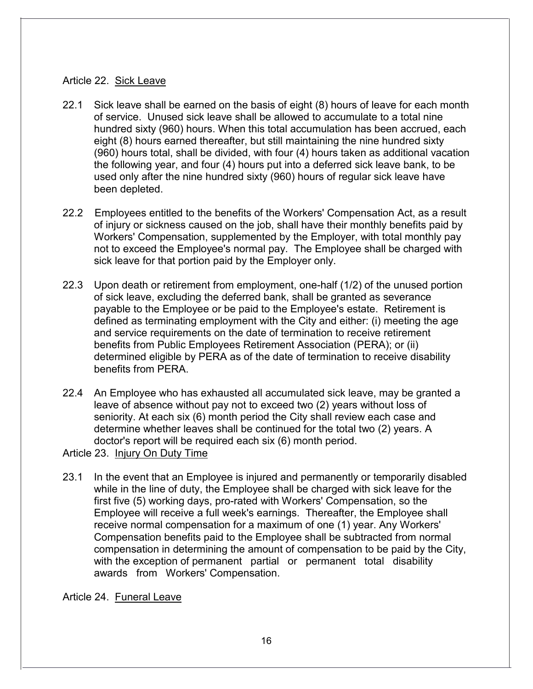#### <span id="page-15-0"></span>Article 22. Sick Leave

- 22.1 Sick leave shall be earned on the basis of eight (8) hours of leave for each month of service. Unused sick leave shall be allowed to accumulate to a total nine hundred sixty (960) hours. When this total accumulation has been accrued, each eight (8) hours earned thereafter, but still maintaining the nine hundred sixty (960) hours total, shall be divided, with four (4) hours taken as additional vacation the following year, and four (4) hours put into a deferred sick leave bank, to be used only after the nine hundred sixty (960) hours of regular sick leave have been depleted.
- 22.2 Employees entitled to the benefits of the Workers' Compensation Act, as a result of injury or sickness caused on the job, shall have their monthly benefits paid by Workers' Compensation, supplemented by the Employer, with total monthly pay not to exceed the Employee's normal pay. The Employee shall be charged with sick leave for that portion paid by the Employer only.
- 22.3 Upon death or retirement from employment, one-half (1/2) of the unused portion of sick leave, excluding the deferred bank, shall be granted as severance payable to the Employee or be paid to the Employee's estate. Retirement is defined as terminating employment with the City and either: (i) meeting the age and service requirements on the date of termination to receive retirement benefits from Public Employees Retirement Association (PERA); or (ii) determined eligible by PERA as of the date of termination to receive disability benefits from PERA.
- 22.4 An Employee who has exhausted all accumulated sick leave, may be granted a leave of absence without pay not to exceed two (2) years without loss of seniority. At each six (6) month period the City shall review each case and determine whether leaves shall be continued for the total two (2) years. A doctor's report will be required each six (6) month period.

<span id="page-15-1"></span>Article 23. Injury On Duty Time

23.1 In the event that an Employee is injured and permanently or temporarily disabled while in the line of duty, the Employee shall be charged with sick leave for the first five (5) working days, pro-rated with Workers' Compensation, so the Employee will receive a full week's earnings. Thereafter, the Employee shall receive normal compensation for a maximum of one (1) year. Any Workers' Compensation benefits paid to the Employee shall be subtracted from normal compensation in determining the amount of compensation to be paid by the City, with the exception of permanent partial or permanent total disability awards from Workers' Compensation.

<span id="page-15-2"></span>Article 24. Funeral Leave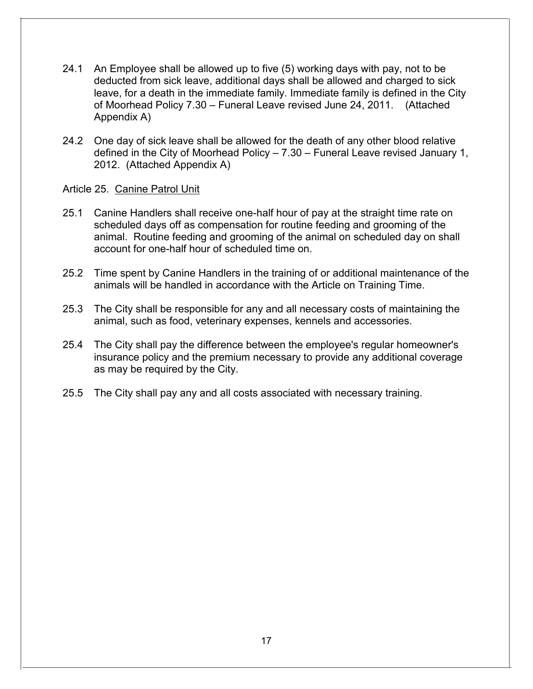- 24.1 An Employee shall be allowed up to five (5) working days with pay, not to be deducted from sick leave, additional days shall be allowed and charged to sick leave, for a death in the immediate family. Immediate family is defined in the City of Moorhead Policy 7.30 – Funeral Leave revised June 24, 2011. (Attached Appendix A)
- 24.2 One day of sick leave shall be allowed for the death of any other blood relative defined in the City of Moorhead Policy – 7.30 – Funeral Leave revised January 1, 2012. (Attached Appendix A)

#### <span id="page-16-0"></span>Article 25. Canine Patrol Unit

- 25.1 Canine Handlers shall receive one-half hour of pay at the straight time rate on scheduled days off as compensation for routine feeding and grooming of the animal. Routine feeding and grooming of the animal on scheduled day on shall account for one-half hour of scheduled time on.
- 25.2 Time spent by Canine Handlers in the training of or additional maintenance of the animals will be handled in accordance with the Article on Training Time.
- 25.3 The City shall be responsible for any and all necessary costs of maintaining the animal, such as food, veterinary expenses, kennels and accessories.
- 25.4 The City shall pay the difference between the employee's regular homeowner's insurance policy and the premium necessary to provide any additional coverage as may be required by the City.
- 25.5 The City shall pay any and all costs associated with necessary training.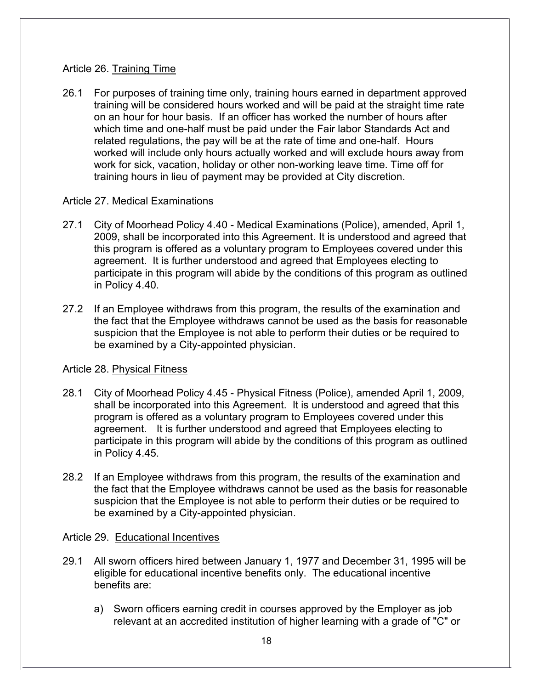## <span id="page-17-0"></span>Article 26. Training Time

26.1 For purposes of training time only, training hours earned in department approved training will be considered hours worked and will be paid at the straight time rate on an hour for hour basis. If an officer has worked the number of hours after which time and one-half must be paid under the Fair labor Standards Act and related regulations, the pay will be at the rate of time and one-half. Hours worked will include only hours actually worked and will exclude hours away from work for sick, vacation, holiday or other non-working leave time. Time off for training hours in lieu of payment may be provided at City discretion.

## <span id="page-17-1"></span>Article 27. Medical Examinations

- 27.1 City of Moorhead Policy 4.40 Medical Examinations (Police), amended, April 1, 2009, shall be incorporated into this Agreement. It is understood and agreed that this program is offered as a voluntary program to Employees covered under this agreement. It is further understood and agreed that Employees electing to participate in this program will abide by the conditions of this program as outlined in Policy 4.40.
- 27.2 If an Employee withdraws from this program, the results of the examination and the fact that the Employee withdraws cannot be used as the basis for reasonable suspicion that the Employee is not able to perform their duties or be required to be examined by a City-appointed physician.

# <span id="page-17-2"></span>Article 28. Physical Fitness

- 28.1 City of Moorhead Policy 4.45 Physical Fitness (Police), amended April 1, 2009, shall be incorporated into this Agreement. It is understood and agreed that this program is offered as a voluntary program to Employees covered under this agreement. It is further understood and agreed that Employees electing to participate in this program will abide by the conditions of this program as outlined in Policy 4.45.
- 28.2 If an Employee withdraws from this program, the results of the examination and the fact that the Employee withdraws cannot be used as the basis for reasonable suspicion that the Employee is not able to perform their duties or be required to be examined by a City-appointed physician.

### <span id="page-17-3"></span>Article 29. Educational Incentives

- 29.1 All sworn officers hired between January 1, 1977 and December 31, 1995 will be eligible for educational incentive benefits only. The educational incentive benefits are:
	- a) Sworn officers earning credit in courses approved by the Employer as job relevant at an accredited institution of higher learning with a grade of "C" or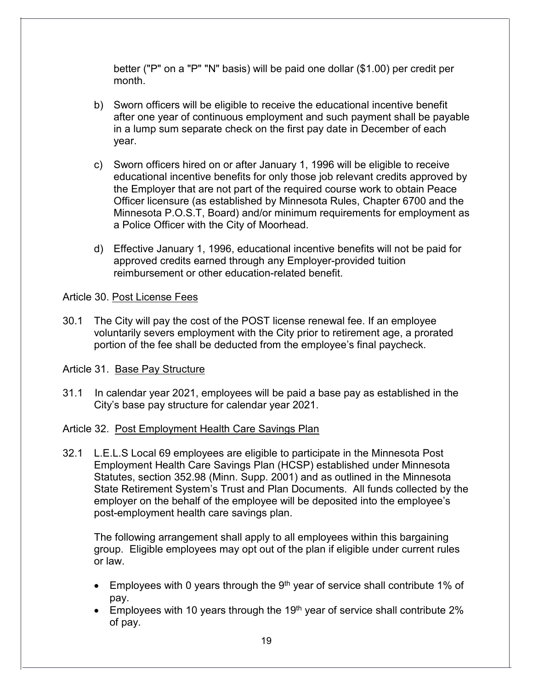better ("P" on a "P" "N" basis) will be paid one dollar (\$1.00) per credit per month.

- b) Sworn officers will be eligible to receive the educational incentive benefit after one year of continuous employment and such payment shall be payable in a lump sum separate check on the first pay date in December of each year.
- c) Sworn officers hired on or after January 1, 1996 will be eligible to receive educational incentive benefits for only those job relevant credits approved by the Employer that are not part of the required course work to obtain Peace Officer licensure (as established by Minnesota Rules, Chapter 6700 and the Minnesota P.O.S.T, Board) and/or minimum requirements for employment as a Police Officer with the City of Moorhead.
- d) Effective January 1, 1996, educational incentive benefits will not be paid for approved credits earned through any Employer-provided tuition reimbursement or other education-related benefit.

### <span id="page-18-0"></span>Article 30. Post License Fees

30.1 The City will pay the cost of the POST license renewal fee. If an employee voluntarily severs employment with the City prior to retirement age, a prorated portion of the fee shall be deducted from the employee's final paycheck.

# <span id="page-18-1"></span>Article 31. Base Pay Structure

31.1 In calendar year 2021, employees will be paid a base pay as established in the City's base pay structure for calendar year 2021.

# <span id="page-18-2"></span>Article 32. Post Employment Health Care Savings Plan

32.1 L.E.L.S Local 69 employees are eligible to participate in the Minnesota Post Employment Health Care Savings Plan (HCSP) established under Minnesota Statutes, section 352.98 (Minn. Supp. 2001) and as outlined in the Minnesota State Retirement System's Trust and Plan Documents. All funds collected by the employer on the behalf of the employee will be deposited into the employee's post-employment health care savings plan.

The following arrangement shall apply to all employees within this bargaining group. Eligible employees may opt out of the plan if eligible under current rules or law.

- Employees with 0 years through the  $9<sup>th</sup>$  year of service shall contribute 1% of pay.
- Employees with 10 years through the 19<sup>th</sup> year of service shall contribute 2% of pay.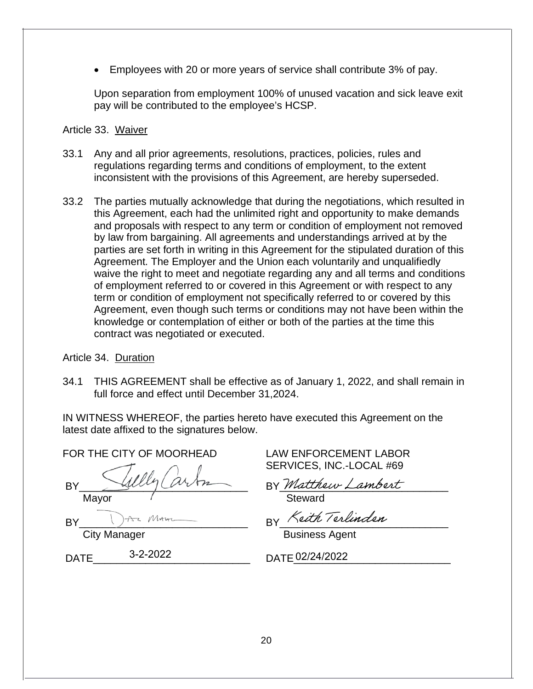• Employees with 20 or more years of service shall contribute 3% of pay.

Upon separation from employment 100% of unused vacation and sick leave exit pay will be contributed to the employee's HCSP.

### Article 33. Waiver

- 33.1 Any and all prior agreements, resolutions, practices, policies, rules and regulations regarding terms and conditions of employment, to the extent inconsistent with the provisions of this Agreement, are hereby superseded.
- 33.2 The parties mutually acknowledge that during the negotiations, which resulted in this Agreement, each had the unlimited right and opportunity to make demands and proposals with respect to any term or condition of employment not removed by law from bargaining. All agreements and understandings arrived at by the parties are set forth in writing in this Agreement for the stipulated duration of this Agreement. The Employer and the Union each voluntarily and unqualifiedly waive the right to meet and negotiate regarding any and all terms and conditions of employment referred to or covered in this Agreement or with respect to any term or condition of employment not specifically referred to or covered by this Agreement, even though such terms or conditions may not have been within the knowledge or contemplation of either or both of the parties at the time this contract was negotiated or executed.

### Article 34. Duration

34.1 THIS AGREEMENT shall be effective as of January 1, 2022, and shall remain in full force and effect until December 31,2024.

IN WITNESS WHEREOF, the parties hereto have executed this Agreement on the latest date affixed to the signatures below.

| FOR THE CITY OF MOORHEAD |
|--------------------------|
|                          |
| Mayor                    |
| Az Moron<br>RY           |
| City Monogor             |

City Manager

DATE 3-2-2022 DATE 02/24/2022

LAW ENFORCEMENT LABOR SERVICES, INC.-LOCAL #69

BY *Matthew Lambert* 

Steward

 $BY$  rear receival  $\sim$ 

Business Agent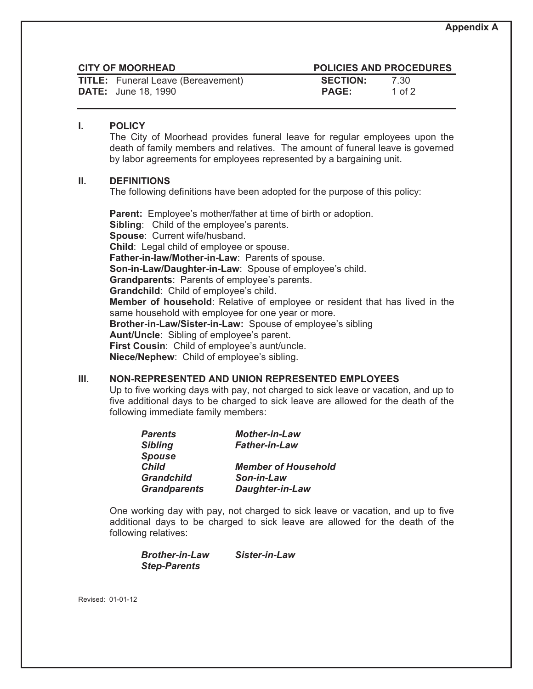|  | <b>CITY OF MOORHEAD</b> |  |  |  |  |
|--|-------------------------|--|--|--|--|
|--|-------------------------|--|--|--|--|

| <b>TITLE:</b> Funeral Leave (Bereavement) | <b>SECTION:</b> | 7.30   |
|-------------------------------------------|-----------------|--------|
| <b>DATE:</b> June 18, 1990                | <b>PAGE:</b>    | 1 of 2 |

#### **POLICIES AND PROCEDURES**

| <b>SECTION:</b> | 7.30     |
|-----------------|----------|
| <b>PAGE:</b>    | 1 of $2$ |

#### **I. POLICY**

The City of Moorhead provides funeral leave for regular employees upon the death of family members and relatives. The amount of funeral leave is governed by labor agreements for employees represented by a bargaining unit.

#### **II. DEFINITIONS**

The following definitions have been adopted for the purpose of this policy:

**Parent:** Employee's mother/father at time of birth or adoption. **Sibling**: Child of the employee's parents. **Spouse**: Current wife/husband. **Child**: Legal child of employee or spouse. **Father-in-law/Mother-in-Law**: Parents of spouse. **Son-in-Law/Daughter-in-Law**: Spouse of employee's child. **Grandparents**: Parents of employee's parents. **Grandchild**: Child of employee's child. **Member of household**: Relative of employee or resident that has lived in the same household with employee for one year or more. **Brother-in-Law/Sister-in-Law:** Spouse of employee's sibling **Aunt/Uncle**: Sibling of employee's parent. **First Cousin**: Child of employee's aunt/uncle. **Niece/Nephew**: Child of employee's sibling.

#### **III. NON-REPRESENTED AND UNION REPRESENTED EMPLOYEES**

Up to five working days with pay, not charged to sick leave or vacation, and up to five additional days to be charged to sick leave are allowed for the death of the following immediate family members:

| <b>Mother-in-Law</b>       |
|----------------------------|
| <b>Father-in-Law</b>       |
|                            |
| <b>Member of Household</b> |
| Son-in-Law                 |
| <b>Daughter-in-Law</b>     |
|                            |

One working day with pay, not charged to sick leave or vacation, and up to five additional days to be charged to sick leave are allowed for the death of the following relatives:

| <b>Brother-in-Law</b> | Sister-in-Law |
|-----------------------|---------------|
| <b>Step-Parents</b>   |               |

Revised: 01-01-12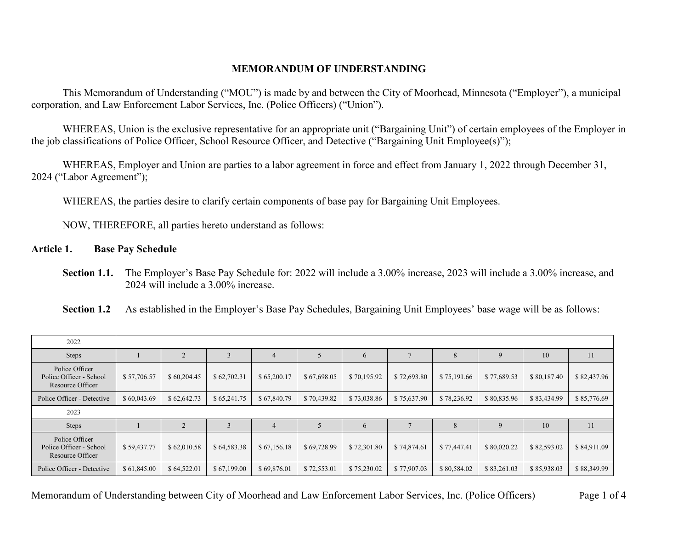#### **MEMORANDUM OF UNDERSTANDING**

This Memorandum of Understanding ("MOU") is made by and between the City of Moorhead, Minnesota ("Employer"), a municipal corporation, and Law Enforcement Labor Services, Inc. (Police Officers) ("Union").

WHEREAS, Union is the exclusive representative for an appropriate unit ("Bargaining Unit") of certain employees of the Employer in the job classifications of Police Officer, School Resource Officer, and Detective ("Bargaining Unit Employee(s)");

WHEREAS, Employer and Union are parties to a labor agreement in force and effect from January 1, 2022 through December 31, 2024 ("Labor Agreement");

WHEREAS, the parties desire to clarify certain components of base pay for Bargaining Unit Employees.

NOW, THEREFORE, all parties hereto understand as follows:

**Article 1. Base Pay Schedule**

**Section 1.1.** The Employer's Base Pay Schedule for: 2022 will include a 3.00% increase, 2023 will include a 3.00% increase, and 2024 will include a 3.00% increase.

**Section 1.2** As established in the Employer's Base Pay Schedules, Bargaining Unit Employees' base wage will be as follows:

| 2022                                                          |             |                |             |                |             |             |             |             |             |             |             |
|---------------------------------------------------------------|-------------|----------------|-------------|----------------|-------------|-------------|-------------|-------------|-------------|-------------|-------------|
| Steps                                                         |             | 2              |             |                |             | 6           |             | 8           |             | 10          | 11          |
| Police Officer<br>Police Officer - School<br>Resource Officer | \$57,706.57 | \$60,204.45    | \$62,702.31 | \$65,200.17    | \$67,698.05 | \$70,195.92 | \$72,693.80 | \$75,191.66 | \$77,689.53 | \$80,187.40 | \$82,437.96 |
| Police Officer - Detective                                    | \$60,043.69 | \$62,642.73    | \$65,241.75 | \$67,840.79    | \$70,439.82 | \$73,038.86 | \$75,637.90 | \$78,236.92 | \$80,835.96 | \$83,434.99 | \$85,776.69 |
| 2023                                                          |             |                |             |                |             |             |             |             |             |             |             |
| <b>Steps</b>                                                  |             | $\overline{2}$ |             | $\overline{4}$ |             | 6           |             | 8           | 9           | 10          | 11          |
| Police Officer<br>Police Officer - School<br>Resource Officer | \$59,437.77 | \$62,010.58    | \$64,583.38 | \$67,156.18    | \$69,728.99 | \$72,301.80 | \$74,874.61 | \$77,447.41 | \$80,020.22 | \$82,593.02 | \$84,911.09 |
| Police Officer - Detective                                    | \$61,845.00 | \$64,522.01    | \$67,199.00 | \$69,876.01    | \$72,553.01 | \$75,230.02 | \$77,907.03 | \$80,584.02 | \$83,261.03 | \$85,938.03 | \$88,349.99 |

Memorandum of Understanding between City of Moorhead and Law Enforcement Labor Services, Inc. (Police Officers) Page 1 of 4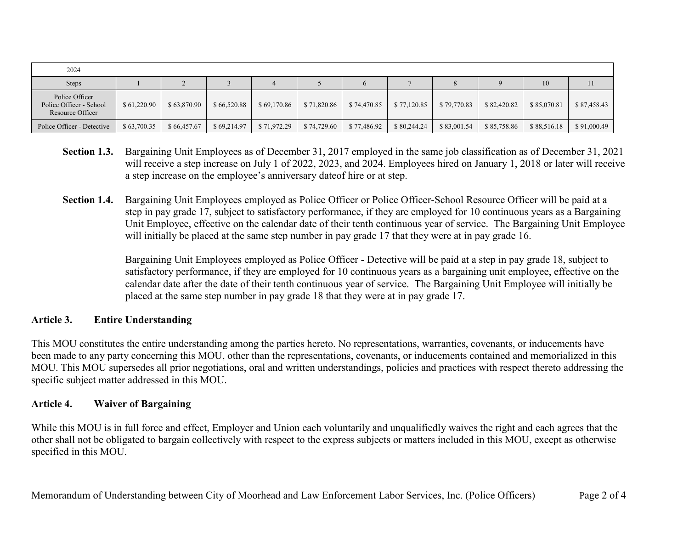| 2024                                                          |             |             |             |             |             |             |             |             |             |             |             |
|---------------------------------------------------------------|-------------|-------------|-------------|-------------|-------------|-------------|-------------|-------------|-------------|-------------|-------------|
| <b>Steps</b>                                                  |             |             |             |             |             |             |             |             |             | 10          |             |
| Police Officer<br>Police Officer - School<br>Resource Officer | \$61,220.90 | \$63,870.90 | \$66,520.88 | \$69,170.86 | \$71,820.86 | \$74,470.85 | \$77,120.85 | \$79,770.83 | \$82,420.82 | \$85,070.81 | \$87,458.43 |
| Police Officer - Detective                                    | \$63,700.35 | \$66,457.67 | \$69,214.97 | \$71,972.29 | \$74,729.60 | \$77,486.92 | \$80,244.24 | \$83,001.54 | \$85,758.86 | \$88,516.18 | \$91,000.49 |

- **Section 1.3.** Bargaining Unit Employees as of December 31, 2017 employed in the same job classification as of December 31, 2021 will receive a step increase on July 1 of 2022, 2023, and 2024. Employees hired on January 1, 2018 or later will receive a step increase on the employee's anniversary dateof hire or at step.
- **Section 1.4.** Bargaining Unit Employees employed as Police Officer or Police Officer-School Resource Officer will be paid at a step in pay grade 17, subject to satisfactory performance, if they are employed for 10 continuous years as a Bargaining Unit Employee, effective on the calendar date of their tenth continuous year of service. The Bargaining Unit Employee will initially be placed at the same step number in pay grade 17 that they were at in pay grade 16.

Bargaining Unit Employees employed as Police Officer - Detective will be paid at a step in pay grade 18, subject to satisfactory performance, if they are employed for 10 continuous years as a bargaining unit employee, effective on the calendar date after the date of their tenth continuous year of service. The Bargaining Unit Employee will initially be placed at the same step number in pay grade 18 that they were at in pay grade 17.

#### **Article 3. Entire Understanding**

This MOU constitutes the entire understanding among the parties hereto. No representations, warranties, covenants, or inducements have been made to any party concerning this MOU, other than the representations, covenants, or inducements contained and memorialized in this MOU. This MOU supersedes all prior negotiations, oral and written understandings, policies and practices with respect thereto addressing the specific subject matter addressed in this MOU.

#### **Article 4. Waiver of Bargaining**

While this MOU is in full force and effect, Employer and Union each voluntarily and unqualifiedly waives the right and each agrees that the other shall not be obligated to bargain collectively with respect to the express subjects or matters included in this MOU, except as otherwise specified in this MOU.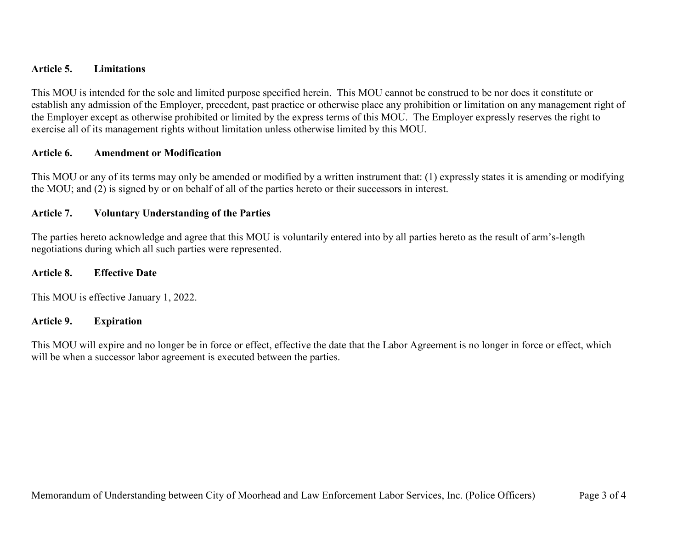#### **Article 5. Limitations**

This MOU is intended for the sole and limited purpose specified herein. This MOU cannot be construed to be nor does it constitute or establish any admission of the Employer, precedent, past practice or otherwise place any prohibition or limitation on any management right of the Employer except as otherwise prohibited or limited by the express terms of this MOU. The Employer expressly reserves the right to exercise all of its management rights without limitation unless otherwise limited by this MOU.

#### **Article 6. Amendment or Modification**

This MOU or any of its terms may only be amended or modified by a written instrument that: (1) expressly states it is amending or modifying the MOU; and (2) is signed by or on behalf of all of the parties hereto or their successors in interest.

#### **Article 7. Voluntary Understanding of the Parties**

The parties hereto acknowledge and agree that this MOU is voluntarily entered into by all parties hereto as the result of arm's-length negotiations during which all such parties were represented.

#### **Article 8. Effective Date**

This MOU is effective January 1, 2022.

#### **Article 9. Expiration**

This MOU will expire and no longer be in force or effect, effective the date that the Labor Agreement is no longer in force or effect, which will be when a successor labor agreement is executed between the parties.